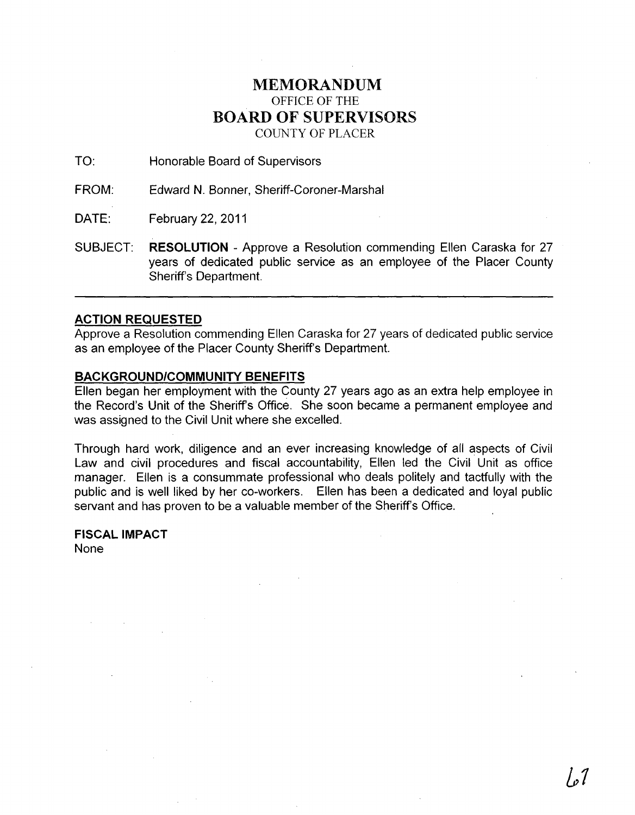## MEMORANDUM OFFICE OF THE BOARD OF SUPERVISORS COUNTY OF PLACER

TO: Honorable Board of Supervisors

FROM: Edward N. Bonner, Sheriff-Coroner-Marshal

DATE: February 22, 2011

SUBJECT: RESOLUTION - Approve a Resolution commending Ellen Caraska for 27 years of dedicated public service as an employee of the Placer County Sheriff's Department.

## ACTION REQUESTED

Approve a Resolution commending Ellen Caraska for 27 years of dedicated public service as an employee of the Placer County Sheriff's Department.

## BACKGROUND/COMMUNITY BENEFITS

Ellen began her employment with the County 27 years ago as an extra help employee in the Record's Unit of the Sheriff's Office. She soon became a permanent employee and was assigned to the Civil Unit where she excelled.

Through hard work, diligence and an ever increasing knowledge of all aspects of Civil Law and civil procedures and fiscal accountability, Ellen led the Civil Unit as office manager. Ellen is a consummate professional who deals politely and tactfully with the public and is well liked by her co-workers. Ellen has been a dedicated and loyal public servant and has proven to be a valuable member of the Sheriff's Office.

FISCAL IMPACT None